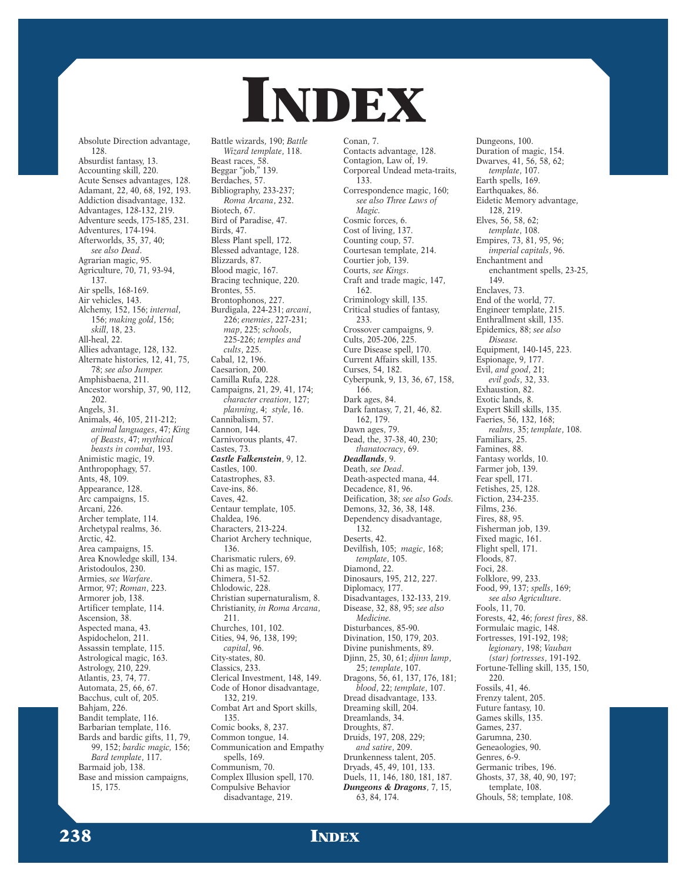## INDEX

Absolute Direction advantage, 128. Absurdist fantasy, 13. Accounting skill, 220. Acute Senses advantages, 128. Adamant, 22, 40, 68, 192, 193. Addiction disadvantage, 132. Advantages, 128-132, 219. Adventure seeds, 175-185, 231. Adventures, 174-194. Afterworlds, 35, 37, 40; *see also Dead*. Agrarian magic, 95. Agriculture, 70, 71, 93-94, 137. Air spells, 168-169. Air vehicles, 143. Alchemy, 152, 156; *internal*, 156; *making gold*, 156; *skill*, 18, 23. All-heal, 22. Allies advantage, 128, 132. Alternate histories, 12, 41, 75, 78; *see also Jumper.* Amphisbaena, 211. Ancestor worship, 37, 90, 112, 202. Angels, 31. Animals, 46, 105, 211-212; *animal languages*, 47; *King of Beasts*, 47; *mythical beasts in combat*, 193. Animistic magic, 19. Anthropophagy, 57. Ants, 48, 109. Appearance, 128. Arc campaigns, 15. Arcani, 226. Archer template, 114. Archetypal realms, 36. Arctic, 42. Area campaigns, 15. Area Knowledge skill, 134. Aristodoulos, 230. Armies, *see Warfare*. Armor, 97; *Roman*, 223. Armorer job, 138. Artificer template, 114. Ascension, 38. Aspected mana, 43. Aspidochelon, 211. Assassin template, 115. Astrological magic, 163. Astrology, 210, 229. Atlantis, 23, 74, 77. Automata, 25, 66, 67. Bacchus, cult of, 205. Bahjam, 226. Bandit template, 116. Barbarian template, 116. Bards and bardic gifts, 11, 79, 99, 152; *bardic magic,* 156; *Bard template*, 117. Barmaid job, 138. Base and mission campaigns, 15, 175.

Battle wizards, 190; *Battle Wizard template*, 118. Beast races, 58. Beggar "job," 139. Berdaches, 57. Bibliography, 233-237; *Roma Arcana*, 232. Biotech, 67. Bird of Paradise, 47. Birds, 47. Bless Plant spell, 172. Blessed advantage, 128. Blizzards, 87. Blood magic, 167. Bracing technique, 220. Brontes, 55. Brontophonos, 227. Burdigala, 224-231; *arcani*, 226; *enemies*, 227-231; *map*, 225; *schools*, 225-226; *temples and cults*, 225. Cabal, 12, 196. Caesarion, 200. Camilla Rufa, 228. Campaigns, 21, 29, 41, 174; *character creation*, 127; *planning*, 4; *style*, 16. Cannibalism, 57. Cannon, 144. Carnivorous plants, 47. Castes, 73. *Castle Falkenstein*, 9, 12. Castles, 100. Catastrophes, 83. Cave-ins, 86. Caves, 42. Centaur template, 105. Chaldea, 196. Characters, 213-224. Chariot Archery technique, 136. Charismatic rulers, 69. Chi as magic, 157. Chimera, 51-52. Chlodowic, 228. Christian supernaturalism, 8. Christianity, *in Roma Arcana*, 211. Churches, 101, 102. Cities, 94, 96, 138, 199; *capital*, 96. City-states, 80. Classics, 233. Clerical Investment, 148, 149. Code of Honor disadvantage, 132, 219. Combat Art and Sport skills, 135. Comic books, 8, 237. Common tongue, 14. Communication and Empathy spells, 169 Communism, 70. Complex Illusion spell, 170. Compulsive Behavior disadvantage, 219.

Conan, 7. Contacts advantage, 128. Contagion, Law of, 19. Corporeal Undead meta-traits, 133. Correspondence magic, 160; *see also Three Laws of Magic.* Cosmic forces, 6. Cost of living, 137. Counting coup, 57. Courtesan template, 214. Courtier job, 139. Courts, *see Kings*. Craft and trade magic, 147, 162. Criminology skill, 135. Critical studies of fantasy, 233. Crossover campaigns, 9. Cults, 205-206, 225. Cure Disease spell, 170. Current Affairs skill, 135. Curses, 54, 182. Cyberpunk, 9, 13, 36, 67, 158, 166. Dark ages, 84. Dark fantasy, 7, 21, 46, 82. 162, 179. Dawn ages, 79. Dead, the, 37-38, 40, 230; *thanatocracy*, 69. *Deadlands*, 9. Death, *see Dead*. Death-aspected mana, 44. Decadence, 81, 96. Deification, 38; *see also Gods.* Demons, 32, 36, 38, 148. Dependency disadvantage, 132. Deserts, 42. Devilfish, 105; *magic*, 168; *template*, 105. Diamond, 22. Dinosaurs, 195, 212, 227. Diplomacy, 177. Disadvantages, 132-133, 219. Disease, 32, 88, 95; *see also Medicine.* Disturbances, 85-90. Divination, 150, 179, 203. Divine punishments, 89. Djinn, 25, 30, 61; *djinn lamp*, 25; *template*, 107. Dragons, 56, 61, 137, 176, 181; *blood*, 22; *template*, 107. Dread disadvantage, 133. Dreaming skill, 204. Dreamlands, 34. Droughts, 87. Druids, 197, 208, 229; *and satire*, 209. Drunkenness talent, 205. Dryads, 45, 49, 101, 133. Duels, 11, 146, 180, 181, 187. *Dungeons & Dragons*, 7, 15, 63, 84, 174.

Dungeons, 100. Duration of magic, 154. Dwarves, 41, 56, 58, 62; *template*, 107. Earth spells, 169. Earthquakes, 86. Eidetic Memory advantage, 128, 219. Elves, 56, 58, 62; *template*, 108. Empires, 73, 81, 95, 96; *imperial capitals*, 96. Enchantment and enchantment spells, 23-25, 149. Enclaves, 73. End of the world, 77. Engineer template, 215. Enthrallment skill, 135. Epidemics, 88; *see also Disease.* Equipment, 140-145, 223. Espionage, 9, 177. Evil, *and good*, 21; *evil gods*, 32, 33. Exhaustion, 82. Exotic lands, 8. Expert Skill skills, 135. Faeries, 56, 132, 168; *realms*, 35; *template*, 108. Familiars, 25. Famines, 88. Fantasy worlds, 10. Farmer job, 139. Fear spell, 171. Fetishes, 25, 128. Fiction, 234-235. Films, 236. Fires, 88, 95. Fisherman job, 139. Fixed magic, 161. Flight spell, 171. Floods, 87. Foci, 28. Folklore, 99, 233. Food, 99, 137; *spells*, 169; *see also Agriculture*. Fools, 11, 70. Forests, 42, 46; *forest fires*, 88. Formulaic magic, 148. Fortresses, 191-192, 198; *legionary*, 198; *Vauban (star) fortresses*, 191-192. Fortune-Telling skill, 135, 150, 220. Fossils, 41, 46. Frenzy talent, 205. Future fantasy, 10. Games skills, 135. Games, 237. Garumna, 230. Geneaologies, 90. Genres, 6-9. Germanic tribes, 196. Ghosts, 37, 38, 40, 90, 197; template, 108. Ghouls, 58; template, 108.

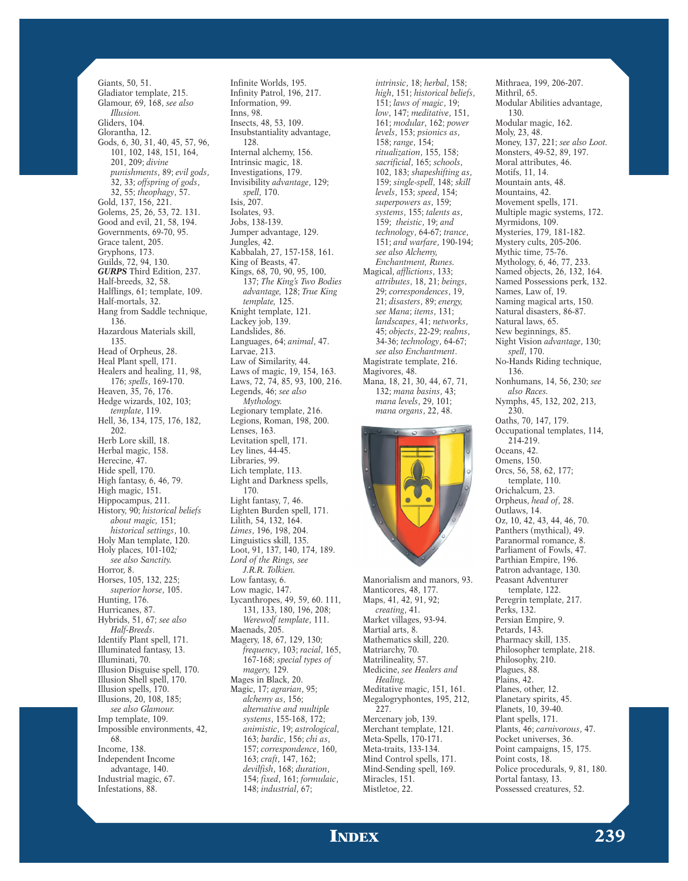Giants, 50, 51. Gladiator template, 215. Glamour, 69, 168, *see also Illusion.* Gliders, 104. Glorantha, 12. Gods, 6, 30, 31, 40, 45, 57, 96, 101, 102, 148, 151, 164, 201, 209; *divine punishments*, 89; *evil gods*, 32, 33; *offspring of gods*, 32, 55; *theophagy*, 57. Gold, 137, 156, 221. Golems, 25, 26, 53, 72. 131. Good and evil, 21, 58, 194. Governments, 69-70, 95. Grace talent, 205. Gryphons, 173. Guilds, 72, 94, 130. *GURPS* Third Edition, 237. Half-breeds, 32, 58. Halflings, 61; template, 109. Half-mortals, 32. Hang from Saddle technique, 136. Hazardous Materials skill, 135. Head of Orpheus, 28. Heal Plant spell, 171. Healers and healing, 11, 98, 176; *spells*, 169-170. Heaven, 35, 76, 176. Hedge wizards, 102, 103; *template*, 119. Hell, 36, 134, 175, 176, 182, 202. Herb Lore skill, 18. Herbal magic, 158. Herecine, 47. Hide spell, 170. High fantasy, 6, 46, 79. High magic, 151. Hippocampus, 211. History, 90; *historical beliefs about magic,* 151; *historical settings*, 10. Holy Man template, 120. Holy places, 101-102*; see also Sanctity.* Horror, 8. Horses, 105, 132, 225; *superior horse*, 105. Hunting, 176. Hurricanes, 87. Hybrids, 51, 67; *see also Half-Breeds*. Identify Plant spell, 171. Illuminated fantasy, 13. Illuminati, 70. Illusion Disguise spell, 170. Illusion Shell spell, 170. Illusion spells, 170. Illusions, 20, 108, 185; *see also Glamour.* Imp template, 109. Impossible environments, 42, 68. Income, 138. Independent Income advantage, 140. Industrial magic, 67. Infestations, 88.

Infinite Worlds, 195. Infinity Patrol, 196, 217. Information, 99. Inns, 98. Insects, 48, 53, 109. Insubstantiality advantage, 128. Internal alchemy, 156. Intrinsic magic, 18. Investigations, 179. Invisibility *advantage*, 129; *spell*, 170. Isis, 207. Isolates, 93. Jobs, 138-139. Jumper advantage, 129. Jungles, 42. Kabbalah, 27, 157-158, 161. King of Beasts, 47. Kings, 68, 70, 90, 95, 100, 137; *The King's Two Bodies advantage,* 128; *True King template,* 125. Knight template, 121. Lackey job, 139. Landslides, 86. Languages, 64; *animal*, 47. Larvae, 213. Law of Similarity, 44. Laws of magic, 19, 154, 163. Laws, 72, 74, 85, 93, 100, 216. Legends, 46; *see also Mythology.* Legionary template, 216. Legions, Roman, 198, 200. Lenses, 163. Levitation spell, 171. Ley lines, 44-45. Libraries, 99. Lich template, 113. Light and Darkness spells, 170. Light fantasy, 7, 46. Lighten Burden spell, 171. Lilith, 54, 132, 164. *Limes*, 196, 198, 204. Linguistics skill, 135. Loot, 91, 137, 140, 174, 189. *Lord of the Rings, see J.R.R. Tolkien.* Low fantasy, 6. Low magic, 147. Lycanthropes, 49, 59, 60. 111, 131, 133, 180, 196, 208; *Werewolf template*, 111. Maenads, 205. Magery, 18, 67, 129, 130; *frequency*, 103; *racial*, 165, 167-168; *special types of magery,* 129. Mages in Black, 20. Magic, 17; *agrarian*, 95; *alchemy as*, 156; *alternative and multiple systems*, 155-168, 172; *animistic*, 19; *astrological*, 163; *bardic*, 156; *chi as*, 157; *correspondence*, 160, 163; *craft*, 147, 162; *devilfish*, 168; *duration*, 154; *fixed*, 161; *formulaic*, 148; *industrial*, 67;

*intrinsic*, 18; *herbal*, 158; *high*, 151; *historical beliefs*, 151; *laws of magic*, 19; *low*, 147; *meditative*, 151, 161; *modular*, 162; *power levels*, 153; *psionics as*, 158; *range*, 154; *ritualization*, 155, 158; *sacrificial*, 165; *schools*, 102, 183; *shapeshifting as*, 159; *single*-*spell*, 148; *skill levels*, 153; *speed*, 154; *superpowers as*, 159; *systems*, 155; *talents as*, 159; *theistic*, 19; *and technology*, 64-67; *trance*, 151; *and warfare*, 190-194; *see also Alchemy, Enchantment, Runes.* Magical, *afflictions*, 133; *attributes*, 18, 21; *beings*, 29; *correspondences*, 19, 21; *disasters*, 89; *energy, see Mana*; *items*, 131; *landscapes*, 41; *networks*, 45; *objects*, 22-29; *realms*, 34-36; *technology*, 64-67; *see also Enchantment*. Magistrate template, 216. Magivores, 48. Mana, 18, 21, 30, 44, 67, 71, 132; *mana basins*, 43; *mana levels*, 29, 101;



*mana organs*, 22, 48.

Manorialism and manors, 93. Manticores, 48, 177. Maps, 41, 42, 91, 92; *creating*, 41. Market villages, 93-94. Martial arts, 8. Mathematics skill, 220. Matriarchy, 70. Matrilineality, 57. Medicine, *see Healers and Healing.* Meditative magic, 151, 161. Megalogryphontes, 195, 212, 227. Mercenary job, 139. Merchant template, 121. Meta-Spells, 170-171. Meta-traits, 133-134. Mind Control spells, 171. Mind-Sending spell, 169. Miracles, 151. Mistletoe, 22.

Mithraea, 199, 206-207. Mithril, 65. Modular Abilities advantage, 130. Modular magic, 162. Moly, 23, 48. Money, 137, 221; *see also Loot.* Monsters, 49-52, 89, 197. Moral attributes, 46. Motifs, 11, 14. Mountain ants, 48. Mountains, 42. Movement spells, 171. Multiple magic systems, 172. Myrmidons, 109. Mysteries, 179, 181-182. Mystery cults, 205-206. Mythic time, 75-76. Mythology, 6, 46, 77, 233. Named objects, 26, 132, 164. Named Possessions perk, 132. Names, Law of, 19. Naming magical arts, 150. Natural disasters, 86-87. Natural laws, 65. New beginnings, 85. Night Vision *advantage*, 130; *spell*, 170. No-Hands Riding technique, 136. Nonhumans, 14, 56, 230; *see also Races.* Nymphs, 45, 132, 202, 213, 230. Oaths, 70, 147, 179. Occupational templates, 114,  $214 - 219$ . Oceans, 42. Omens, 150. Orcs, 56, 58, 62, 177; template, 110. Orichalcum, 23. Orpheus, *head of*, 28. Outlaws, 14. Oz, 10, 42, 43, 44, 46, 70. Panthers (mythical), 49. Paranormal romance, 8. Parliament of Fowls, 47. Parthian Empire, 196. Patron advantage, 130. Peasant Adventurer template, 122. Peregrin template, 217. Perks, 132. Persian Empire, 9. Petards, 143. Pharmacy skill, 135. Philosopher template, 218. Philosophy, 210. Plagues, 88. Plains, 42. Planes, other, 12. Planetary spirits, 45. Planets, 10, 39-40. Plant spells, 171. Plants, 46; *carnivorous*, 47. Pocket universes, 36. Point campaigns, 15, 175. Point costs, 18. Police procedurals, 9, 81, 180. Portal fantasy, 13. Possessed creatures, 52.